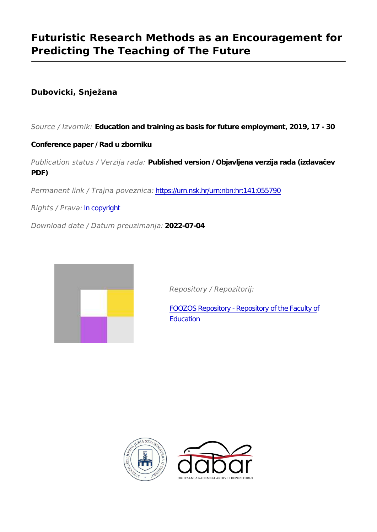# **Futuristic Research Methods as an Encouragement for Predicting The Teaching of The Future**

## **Dubovicki, Snježana**

*Source / Izvornik:* **Education and training as basis for future employment, 2019, 17 - 30**

### **Conference paper / Rad u zborniku**

*Publication status / Verzija rada:* **Published version / Objavljena verzija rada (izdavačev PDF)**

*Permanent link / Trajna poveznica:* <https://urn.nsk.hr/urn:nbn:hr:141:055790>

*Rights / Prava:* [In copyright](http://rightsstatements.org/vocab/InC/1.0/)

*Download date / Datum preuzimanja:* **2022-07-04**



*Repository / Repozitorij:*

[FOOZOS Repository - Repository of the Faculty o](https://repozitorij.foozos.hr)f **[Education](https://repozitorij.foozos.hr)** 



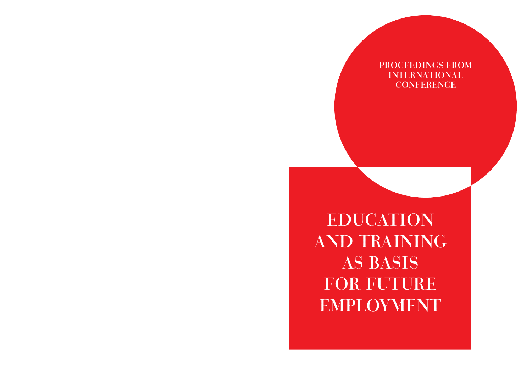# PROCEEDINGS FROM INTERNATIONAL **CONFERENCE**

EDUCATION AND TRAINING AS BASIS FOR FUTURE EMPLOYMENT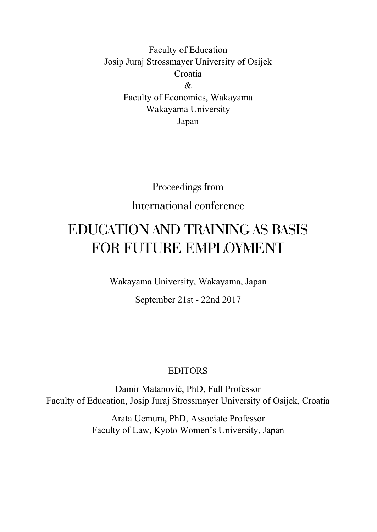Faculty of Education Josip Juraj Strossmayer University of Osijek Croatia  $\mathcal{R}$ Faculty of Economics, Wakayama Wakayama University Japan

# Proceedings from International conference

# EDUCATION AND TRAINING AS BASIS FOR FUTURE EMPLOYMENT

Wakayama University, Wakayama, Japan

September 21st - 22nd 2017

### EDITORS

Damir Matanović, PhD, Full Professor Faculty of Education, Josip Juraj Strossmayer University of Osijek, Croatia

> Arata Uemura, PhD, Associate Professor Faculty of Law, Kyoto Women's University, Japan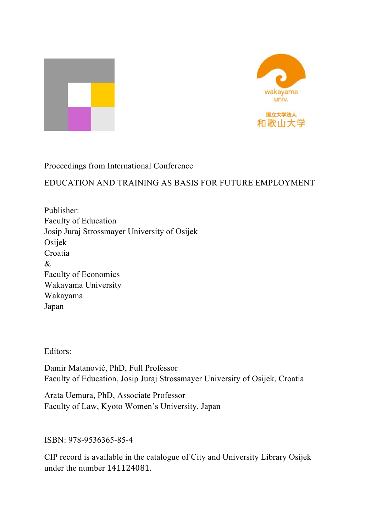



Proceedings from International Conference

EDUCATION AND TRAINING AS BASIS FOR FUTURE EMPLOYMENT

Publisher: Faculty of Education Josip Juraj Strossmayer University of Osijek Osijek Croatia & Faculty of Economics Wakayama University Wakayama Japan

Editors:

Damir Matanović, PhD, Full Professor Faculty of Education, Josip Juraj Strossmayer University of Osijek, Croatia

Arata Uemura, PhD, Associate Professor Faculty of Law, Kyoto Women's University, Japan

#### ISBN: 978-9536365-85-4

CIP record is available in the catalogue of City and University Library Osijek under the number 141124081.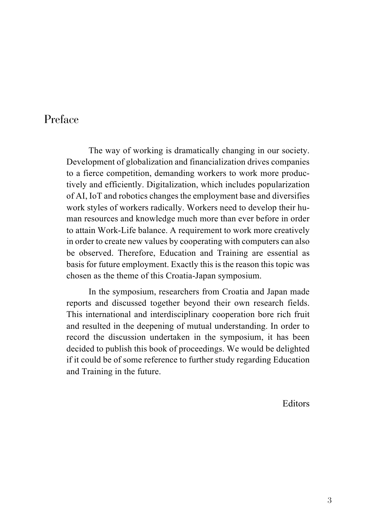## Preface

The way of working is dramatically changing in our society. Development of globalization and financialization drives companies to a fierce competition, demanding workers to work more productively and efficiently. Digitalization, which includes popularization of AI, IoT and robotics changes the employment base and diversifies work styles of workers radically. Workers need to develop their human resources and knowledge much more than ever before in order to attain Work-Life balance. A requirement to work more creatively in order to create new values by cooperating with computers can also be observed. Therefore, Education and Training are essential as basis for future employment. Exactly this is the reason this topic was chosen as the theme of this Croatia-Japan symposium.

In the symposium, researchers from Croatia and Japan made reports and discussed together beyond their own research fields. This international and interdisciplinary cooperation bore rich fruit and resulted in the deepening of mutual understanding. In order to record the discussion undertaken in the symposium, it has been decided to publish this book of proceedings. We would be delighted if it could be of some reference to further study regarding Education and Training in the future.

Editors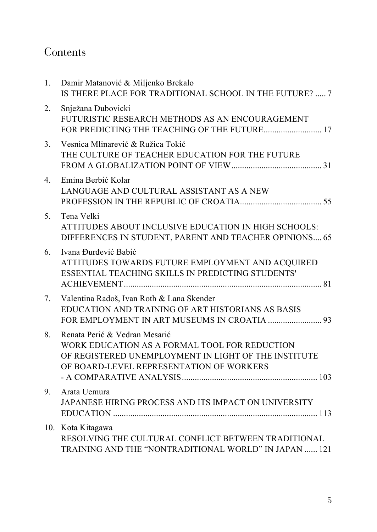# Contents

| 1.             | Damir Matanović & Miljenko Brekalo<br>IS THERE PLACE FOR TRADITIONAL SCHOOL IN THE FUTURE?  7                                                                                      |
|----------------|------------------------------------------------------------------------------------------------------------------------------------------------------------------------------------|
| 2.             | Snježana Dubovicki<br>FUTURISTIC RESEARCH METHODS AS AN ENCOURAGEMENT<br>FOR PREDICTING THE TEACHING OF THE FUTURE 17                                                              |
| 3 <sub>1</sub> | Vesnica Mlinarević & Ružica Tokić<br>THE CULTURE OF TEACHER EDUCATION FOR THE FUTURE                                                                                               |
| 4.             | Emina Berbić Kolar<br>LANGUAGE AND CULTURAL ASSISTANT AS A NEW                                                                                                                     |
| 5.             | Tena Velki<br>ATTITUDES ABOUT INCLUSIVE EDUCATION IN HIGH SCHOOLS:<br>DIFFERENCES IN STUDENT, PARENT AND TEACHER OPINIONS 65                                                       |
| 6.             | Ivana Đurđević Babić<br>ATTITUDES TOWARDS FUTURE EMPLOYMENT AND ACQUIRED<br>ESSENTIAL TEACHING SKILLS IN PREDICTING STUDENTS'                                                      |
| 7.             | Valentina Radoš, Ivan Roth & Lana Skender<br>EDUCATION AND TRAINING OF ART HISTORIANS AS BASIS                                                                                     |
| 8.             | Renata Perić & Vedran Mesarić<br>WORK EDUCATION AS A FORMAL TOOL FOR REDUCTION<br>OF REGISTERED UNEMPLOYMENT IN LIGHT OF THE INSTITUTE<br>OF BOARD-LEVEL REPRESENTATION OF WORKERS |
| 9.             | Arata Uemura<br>JAPANESE HIRING PROCESS AND ITS IMPACT ON UNIVERSITY                                                                                                               |
|                | 10. Kota Kitagawa<br>RESOLVING THE CULTURAL CONFLICT BETWEEN TRADITIONAL<br>TRAINING AND THE "NONTRADITIONAL WORLD" IN JAPAN  121                                                  |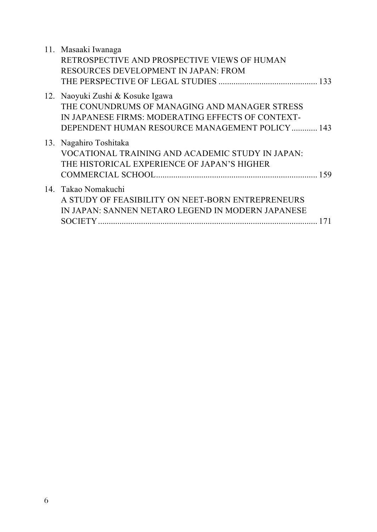| 11. Masaaki Iwanaga<br>RETROSPECTIVE AND PROSPECTIVE VIEWS OF HUMAN<br>RESOURCES DEVELOPMENT IN JAPAN: FROM                                                                               |
|-------------------------------------------------------------------------------------------------------------------------------------------------------------------------------------------|
|                                                                                                                                                                                           |
| 12. Naoyuki Zushi & Kosuke Igawa<br>THE CONUNDRUMS OF MANAGING AND MANAGER STRESS<br>IN JAPANESE FIRMS: MODERATING EFFECTS OF CONTEXT-<br>DEPENDENT HUMAN RESOURCE MANAGEMENT POLICY  143 |
| 13. Nagahiro Toshitaka<br>VOCATIONAL TRAINING AND ACADEMIC STUDY IN JAPAN:<br>THE HISTORICAL EXPERIENCE OF JAPAN'S HIGHER                                                                 |
| 14. Takao Nomakuchi<br>A STUDY OF FEASIBILITY ON NEET-BORN ENTREPRENEURS<br>IN JAPAN: SANNEN NETARO LEGEND IN MODERN JAPANESE<br>171                                                      |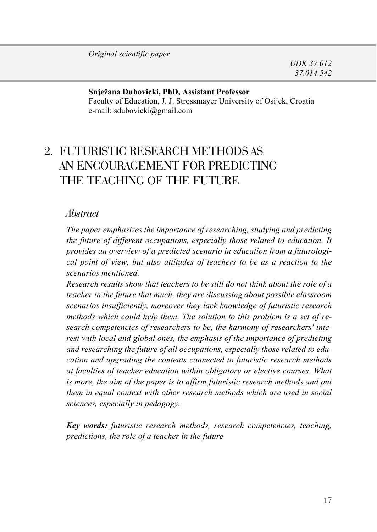#### **Snježana Dubovicki, PhD, Assistant Professor**

Faculty of Education, J. J. Strossmayer University of Osijek, Croatia e-mail: sdubovicki@gmail.com

# 2. FUTURISTIC RESEARCH METHODS AS AN ENCOURAGEMENT FOR PREDICTING THE TEACHING OF THE FUTURE

#### *Abstract*

*The paper emphasizes the importance of researching, studying and predicting the future of different occupations, especially those related to education. It provides an overview of a predicted scenario in education from a futurological point of view, but also attitudes of teachers to be as a reaction to the scenarios mentioned.* 

*Research results show that teachers to be still do not think about the role of a teacher in the future that much, they are discussing about possible classroom scenarios insufficiently, moreover they lack knowledge of futuristic research methods which could help them. The solution to this problem is a set of research competencies of researchers to be, the harmony of researchers' interest with local and global ones, the emphasis of the importance of predicting and researching the future of all occupations, especially those related to education and upgrading the contents connected to futuristic research methods at faculties of teacher education within obligatory or elective courses. What is more, the aim of the paper is to affirm futuristic research methods and put them in equal context with other research methods which are used in social sciences, especially in pedagogy.*

*Key words: futuristic research methods, research competencies, teaching, predictions, the role of a teacher in the future*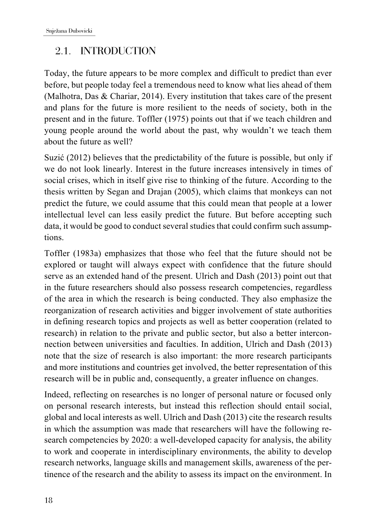### 2.1. INTRODUCTION

Today, the future appears to be more complex and difficult to predict than ever before, but people today feel a tremendous need to know what lies ahead of them (Malhotra, Das & Chariar, 2014). Every institution that takes care of the present and plans for the future is more resilient to the needs of society, both in the present and in the future. Toffler (1975) points out that if we teach children and young people around the world about the past, why wouldn't we teach them about the future as well?

Suzić (2012) believes that the predictability of the future is possible, but only if we do not look linearly. Interest in the future increases intensively in times of social crises, which in itself give rise to thinking of the future. According to the thesis written by Segan and Drajan (2005), which claims that monkeys can not predict the future, we could assume that this could mean that people at a lower intellectual level can less easily predict the future. But before accepting such data, it would be good to conduct several studies that could confirm such assumptions.

Toffler (1983a) emphasizes that those who feel that the future should not be explored or taught will always expect with confidence that the future should serve as an extended hand of the present. Ulrich and Dash (2013) point out that in the future researchers should also possess research competencies, regardless of the area in which the research is being conducted. They also emphasize the reorganization of research activities and bigger involvement of state authorities in defining research topics and projects as well as better cooperation (related to research) in relation to the private and public sector, but also a better interconnection between universities and faculties. In addition, Ulrich and Dash (2013) note that the size of research is also important: the more research participants and more institutions and countries get involved, the better representation of this research will be in public and, consequently, a greater influence on changes.

Indeed, reflecting on researches is no longer of personal nature or focused only on personal research interests, but instead this reflection should entail social, global and local interests as well. Ulrich and Dash (2013) cite the research results in which the assumption was made that researchers will have the following research competencies by 2020: a well-developed capacity for analysis, the ability to work and cooperate in interdisciplinary environments, the ability to develop research networks, language skills and management skills, awareness of the pertinence of the research and the ability to assess its impact on the environment. In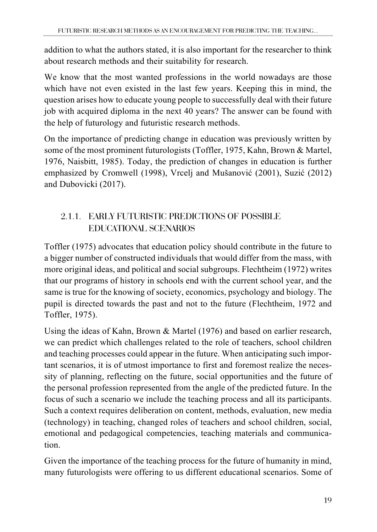addition to what the authors stated, it is also important for the researcher to think about research methods and their suitability for research.

We know that the most wanted professions in the world nowadays are those which have not even existed in the last few years. Keeping this in mind, the question arises how to educate young people to successfully deal with their future job with acquired diploma in the next 40 years? The answer can be found with the help of futurology and futuristic research methods.

On the importance of predicting change in education was previously written by some of the most prominent futurologists (Toffler, 1975, Kahn, Brown & Martel, 1976, Naisbitt, 1985). Today, the prediction of changes in education is further emphasized by Cromwell (1998), Vrcelj and Mušanović (2001), Suzić (2012) and Dubovicki (2017).

### 2.1.1. EARLY FUTURISTIC PREDICTIONS OF POSSIBLE EDUCATIONAL SCENARIOS

Toffler (1975) advocates that education policy should contribute in the future to a bigger number of constructed individuals that would differ from the mass, with more original ideas, and political and social subgroups. Flechtheim (1972) writes that our programs of history in schools end with the current school year, and the same is true for the knowing of society, economics, psychology and biology. The pupil is directed towards the past and not to the future (Flechtheim, 1972 and Toffler, 1975).

Using the ideas of Kahn, Brown & Martel (1976) and based on earlier research, we can predict which challenges related to the role of teachers, school children and teaching processes could appear in the future. When anticipating such important scenarios, it is of utmost importance to first and foremost realize the necessity of planning, reflecting on the future, social opportunities and the future of the personal profession represented from the angle of the predicted future. In the focus of such a scenario we include the teaching process and all its participants. Such a context requires deliberation on content, methods, evaluation, new media (technology) in teaching, changed roles of teachers and school children, social, emotional and pedagogical competencies, teaching materials and communication.

Given the importance of the teaching process for the future of humanity in mind, many futurologists were offering to us different educational scenarios. Some of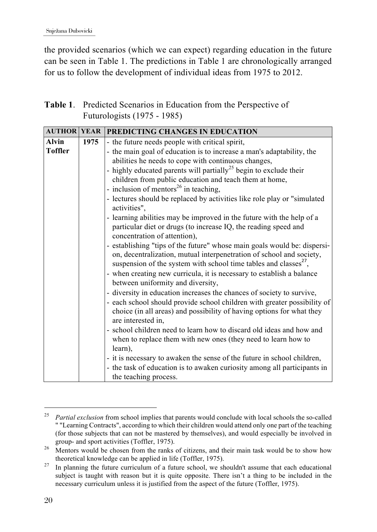the provided scenarios (which we can expect) regarding education in the future can be seen in Table 1. The predictions in Table 1 are chronologically arranged for us to follow the development of individual ideas from 1975 to 2012.

#### **Table 1**. Predicted Scenarios in Education from the Perspective of Futurologists (1975 - 1985)

| <b>AUTHOR YEAR</b>                                                                                                  |      | <b>PREDICTING CHANGES IN EDUCATION</b>                                                                                                                                                                                                                                                                                                                                                                                                                                                                                                                                                                                                                                                                                                                                             |  |  |
|---------------------------------------------------------------------------------------------------------------------|------|------------------------------------------------------------------------------------------------------------------------------------------------------------------------------------------------------------------------------------------------------------------------------------------------------------------------------------------------------------------------------------------------------------------------------------------------------------------------------------------------------------------------------------------------------------------------------------------------------------------------------------------------------------------------------------------------------------------------------------------------------------------------------------|--|--|
| <b>Alvin</b>                                                                                                        | 1975 | - the future needs people with critical spirit,                                                                                                                                                                                                                                                                                                                                                                                                                                                                                                                                                                                                                                                                                                                                    |  |  |
| <b>Toffler</b><br>- inclusion of mentors <sup>26</sup> in teaching,<br>activities",<br>concentration of attention), |      | - the main goal of education is to increase a man's adaptability, the<br>abilities he needs to cope with continuous changes,<br>- highly educated parents will partially <sup>25</sup> begin to exclude their<br>children from public education and teach them at home,<br>- lectures should be replaced by activities like role play or "simulated<br>- learning abilities may be improved in the future with the help of a<br>particular diet or drugs (to increase IQ, the reading speed and<br>- establishing "tips of the future" whose main goals would be: dispersi-<br>on, decentralization, mutual interpenetration of school and society,                                                                                                                                |  |  |
|                                                                                                                     |      | suspension of the system with school time tables and classes <sup>27</sup> ,<br>- when creating new curricula, it is necessary to establish a balance<br>between uniformity and diversity,<br>- diversity in education increases the chances of society to survive,<br>- each school should provide school children with greater possibility of<br>choice (in all areas) and possibility of having options for what they<br>are interested in,<br>- school children need to learn how to discard old ideas and how and<br>when to replace them with new ones (they need to learn how to<br>learn).<br>- it is necessary to awaken the sense of the future in school children,<br>- the task of education is to awaken curiosity among all participants in<br>the teaching process. |  |  |

<u> 1989 - Johann Barn, mars eta bainar eta industrial eta bainar eta baina eta baina eta baina eta baina eta ba</u>

<sup>&</sup>lt;sup>25</sup> *Partial exclusion* from school implies that parents would conclude with local schools the so-called " "Learning Contracts", according to which their children would attend only one part of the teaching (for those subjects that can not be mastered by themselves), and would especially be involved in group- and sport activities (Toffler, 1975).

<sup>&</sup>lt;sup>26</sup> Mentors would be chosen from the ranks of citizens, and their main task would be to show how theoretical knowledge can be applied in life (Toffler, 1975).

 $27$  In planning the future curriculum of a future school, we shouldn't assume that each educational subject is taught with reason but it is quite opposite. There isn't a thing to be included in the necessary curriculum unless it is justified from the aspect of the future (Toffler, 1975).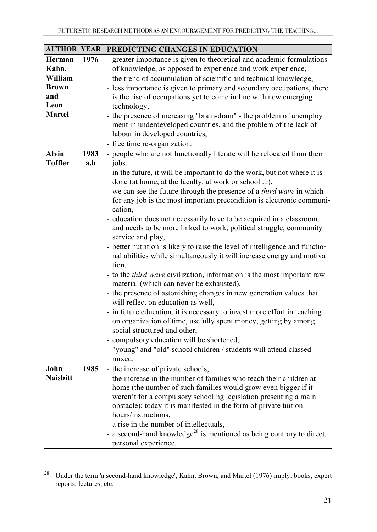| <b>AUTHOR YEAR</b>                                        |             | PREDICTING CHANGES IN EDUCATION                                                                                                                                                                                                                                                                                                                                                                                                                                                                                                                                                                                                                                                                                                                                                                                                                                                                                                                                                                                                                                                                                                                                                                                                                                                       |
|-----------------------------------------------------------|-------------|---------------------------------------------------------------------------------------------------------------------------------------------------------------------------------------------------------------------------------------------------------------------------------------------------------------------------------------------------------------------------------------------------------------------------------------------------------------------------------------------------------------------------------------------------------------------------------------------------------------------------------------------------------------------------------------------------------------------------------------------------------------------------------------------------------------------------------------------------------------------------------------------------------------------------------------------------------------------------------------------------------------------------------------------------------------------------------------------------------------------------------------------------------------------------------------------------------------------------------------------------------------------------------------|
| Herman<br>Kahn,<br>William<br><b>Brown</b><br>and<br>Leon | 1976        | - greater importance is given to theoretical and academic formulations<br>of knowledge, as opposed to experience and work experience,<br>- the trend of accumulation of scientific and technical knowledge,<br>- less importance is given to primary and secondary occupations, there<br>is the rise of occupations yet to come in line with new emerging<br>technology,                                                                                                                                                                                                                                                                                                                                                                                                                                                                                                                                                                                                                                                                                                                                                                                                                                                                                                              |
| <b>Martel</b>                                             |             | - the presence of increasing "brain-drain" - the problem of unemploy-<br>ment in underdeveloped countries, and the problem of the lack of<br>labour in developed countries,<br>- free time re-organization.                                                                                                                                                                                                                                                                                                                                                                                                                                                                                                                                                                                                                                                                                                                                                                                                                                                                                                                                                                                                                                                                           |
| Alvin<br><b>Toffler</b>                                   | 1983<br>a,b | - people who are not functionally literate will be relocated from their<br>jobs,<br>- in the future, it will be important to do the work, but not where it is<br>done (at home, at the faculty, at work or school ),<br>- we can see the future through the presence of a <i>third wave</i> in which<br>for any job is the most important precondition is electronic communi-<br>cation,<br>- education does not necessarily have to be acquired in a classroom,<br>and needs to be more linked to work, political struggle, community<br>service and play,<br>- better nutrition is likely to raise the level of intelligence and functio-<br>nal abilities while simultaneously it will increase energy and motiva-<br>tion,<br>- to the <i>third wave</i> civilization, information is the most important raw<br>material (which can never be exhausted),<br>- the presence of astonishing changes in new generation values that<br>will reflect on education as well,<br>- in future education, it is necessary to invest more effort in teaching<br>on organization of time, usefully spent money, getting by among<br>social structured and other,<br>- compulsory education will be shortened,<br>- "young" and "old" school children / students will attend classed<br>mixed. |
| John<br><b>Naisbitt</b>                                   | 1985        | - the increase of private schools,<br>- the increase in the number of families who teach their children at<br>home (the number of such families would grow even bigger if it<br>weren't for a compulsory schooling legislation presenting a main<br>obstacle); today it is manifested in the form of private tuition<br>hours/instructions,<br>- a rise in the number of intellectuals,<br>- a second-hand knowledge <sup>28</sup> is mentioned as being contrary to direct,<br>personal experience.                                                                                                                                                                                                                                                                                                                                                                                                                                                                                                                                                                                                                                                                                                                                                                                  |

<sup>&</sup>lt;sup>28</sup> Under the term 'a second-hand knowledge', Kahn, Brown, and Martel (1976) imply: books, expert reports, lectures, etc.

<u> 1989 - Johann Barn, mars ann an t-Amhain Aonaich ann an t-Aonaich ann an t-Aonaich ann an t-Aonaich ann an t-</u>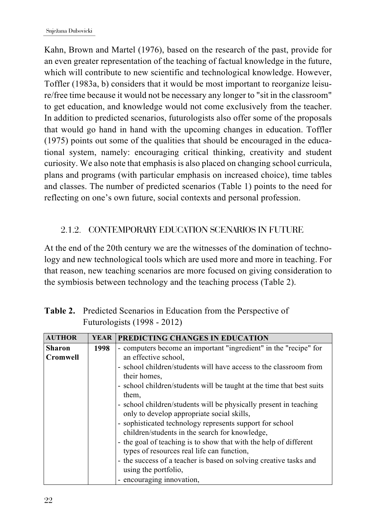Kahn, Brown and Martel (1976), based on the research of the past, provide for an even greater representation of the teaching of factual knowledge in the future, which will contribute to new scientific and technological knowledge. However, Toffler (1983a, b) considers that it would be most important to reorganize leisure/free time because it would not be necessary any longer to "sit in the classroom" to get education, and knowledge would not come exclusively from the teacher. In addition to predicted scenarios, futurologists also offer some of the proposals that would go hand in hand with the upcoming changes in education. Toffler (1975) points out some of the qualities that should be encouraged in the educational system, namely: encouraging critical thinking, creativity and student curiosity. We also note that emphasis is also placed on changing school curricula, plans and programs (with particular emphasis on increased choice), time tables and classes. The number of predicted scenarios (Table 1) points to the need for reflecting on one's own future, social contexts and personal profession.

#### 2.1.2. CONTEMPORARY EDUCATION SCENARIOS IN FUTURE

At the end of the 20th century we are the witnesses of the domination of technology and new technological tools which are used more and more in teaching. For that reason, new teaching scenarios are more focused on giving consideration to the symbiosis between technology and the teaching process (Table 2).

| <b>AUTHOR</b>                    | <b>YEAR</b> | PREDICTING CHANGES IN EDUCATION                                       |
|----------------------------------|-------------|-----------------------------------------------------------------------|
| <b>Sharon</b>                    | 1998        | - computers become an important "ingredient" in the "recipe" for      |
| an effective school,<br>Cromwell |             |                                                                       |
|                                  |             | - school children/students will have access to the classroom from     |
|                                  |             | their homes.                                                          |
|                                  |             | - school children/students will be taught at the time that best suits |
|                                  |             | them,                                                                 |
|                                  |             | - school children/students will be physically present in teaching     |
|                                  |             | only to develop appropriate social skills,                            |
|                                  |             | - sophisticated technology represents support for school              |
|                                  |             | children/students in the search for knowledge,                        |
|                                  |             | - the goal of teaching is to show that with the help of different     |
|                                  |             | types of resources real life can function,                            |
|                                  |             | - the success of a teacher is based on solving creative tasks and     |
|                                  |             | using the portfolio,                                                  |
|                                  |             | - encouraging innovation,                                             |

**Table 2.** Predicted Scenarios in Education from the Perspective of Futurologists (1998 - 2012)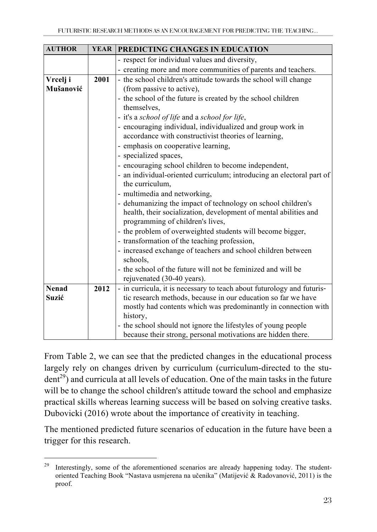| <b>AUTHOR</b> |      | YEAR PREDICTING CHANGES IN EDUCATION                                   |  |  |
|---------------|------|------------------------------------------------------------------------|--|--|
|               |      | - respect for individual values and diversity,                         |  |  |
|               |      | - creating more and more communities of parents and teachers.          |  |  |
| Vrcelj i      | 2001 | - the school children's attitude towards the school will change        |  |  |
| Mušanović     |      | (from passive to active),                                              |  |  |
|               |      | - the school of the future is created by the school children           |  |  |
|               |      | themselves,                                                            |  |  |
|               |      | - it's a school of life and a school for life,                         |  |  |
|               |      | - encouraging individual, individualized and group work in             |  |  |
|               |      | accordance with constructivist theories of learning,                   |  |  |
|               |      | - emphasis on cooperative learning,                                    |  |  |
|               |      | - specialized spaces,                                                  |  |  |
|               |      | - encouraging school children to become independent,                   |  |  |
|               |      | - an individual-oriented curriculum; introducing an electoral part of  |  |  |
|               |      | the curriculum,                                                        |  |  |
|               |      | - multimedia and networking,                                           |  |  |
|               |      | - dehumanizing the impact of technology on school children's           |  |  |
|               |      | health, their socialization, development of mental abilities and       |  |  |
|               |      | programming of children's lives,                                       |  |  |
|               |      | - the problem of overweighted students will become bigger,             |  |  |
|               |      | - transformation of the teaching profession,                           |  |  |
|               |      | - increased exchange of teachers and school children between           |  |  |
|               |      | schools,<br>the school of the future will not be feminized and will be |  |  |
|               |      | rejuvenated (30-40 years).                                             |  |  |
| <b>Nenad</b>  | 2012 | - in curricula, it is necessary to teach about futurology and futuris- |  |  |
| Suzić         |      | tic research methods, because in our education so far we have          |  |  |
|               |      | mostly had contents which was predominantly in connection with         |  |  |
|               |      | history,                                                               |  |  |
|               |      | - the school should not ignore the lifestyles of young people          |  |  |
|               |      | because their strong, personal motivations are hidden there.           |  |  |

From Table 2, we can see that the predicted changes in the educational process largely rely on changes driven by curriculum (curriculum-directed to the stu- $\text{dent}^{29}$ ) and curricula at all levels of education. One of the main tasks in the future will be to change the school children's attitude toward the school and emphasize practical skills whereas learning success will be based on solving creative tasks. Dubovicki (2016) wrote about the importance of creativity in teaching.

The mentioned predicted future scenarios of education in the future have been a trigger for this research.

<u> 1989 - Johann Barn, mars eta bainar eta industrial eta baina eta baina eta baina eta baina eta baina eta bain</u>

<sup>&</sup>lt;sup>29</sup> Interestingly, some of the aforementioned scenarios are already happening today. The studentoriented Teaching Book "Nastava usmjerena na učenika" (Matijević & Radovanović, 2011) is the proof.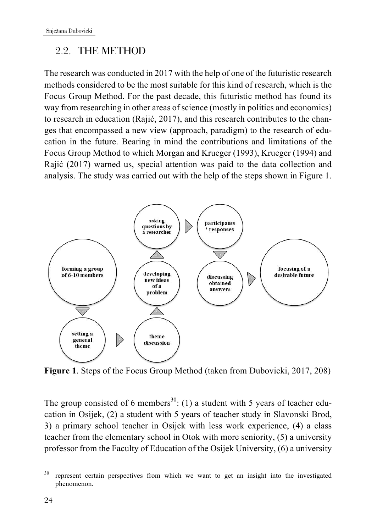### 2.2. THE METHOD

The research was conducted in 2017 with the help of one of the futuristic research methods considered to be the most suitable for this kind of research, which is the Focus Group Method. For the past decade, this futuristic method has found its way from researching in other areas of science (mostly in politics and economics) to research in education (Rajić, 2017), and this research contributes to the changes that encompassed a new view (approach, paradigm) to the research of education in the future. Bearing in mind the contributions and limitations of the Focus Group Method to which Morgan and Krueger (1993), Krueger (1994) and Rajić (2017) warned us, special attention was paid to the data collection and analysis. The study was carried out with the help of the steps shown in Figure 1.



**Figure 1**. Steps of the Focus Group Method (taken from Dubovicki, 2017, 208)

The group consisted of 6 members<sup>30</sup>: (1) a student with 5 years of teacher education in Osijek, (2) a student with 5 years of teacher study in Slavonski Brod, 3) a primary school teacher in Osijek with less work experience, (4) a class teacher from the elementary school in Otok with more seniority, (5) a university professor from the Faculty of Education of the Osijek University, (6) a university

<u> 1989 - Johann Barn, mars ann an t-Amhain Aonaich ann an t-Aonaich ann an t-Aonaich ann an t-Aonaich ann an t-</u>

<sup>&</sup>lt;sup>30</sup> represent certain perspectives from which we want to get an insight into the investigated phenomenon.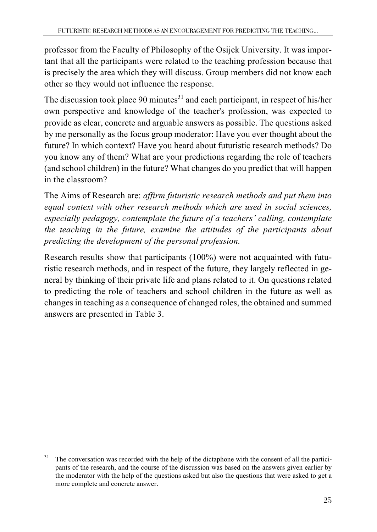professor from the Faculty of Philosophy of the Osijek University. It was important that all the participants were related to the teaching profession because that is precisely the area which they will discuss. Group members did not know each other so they would not influence the response.

The discussion took place 90 minutes $31$  and each participant, in respect of his/her own perspective and knowledge of the teacher's profession, was expected to provide as clear, concrete and arguable answers as possible. The questions asked by me personally as the focus group moderator: Have you ever thought about the future? In which context? Have you heard about futuristic research methods? Do you know any of them? What are your predictions regarding the role of teachers (and school children) in the future? What changes do you predict that will happen in the classroom?

The Aims of Research are: *affirm futuristic research methods and put them into equal context with other research methods which are used in social sciences, especially pedagogy, contemplate the future of a teachers' calling, contemplate the teaching in the future, examine the attitudes of the participants about predicting the development of the personal profession.*

Research results show that participants (100%) were not acquainted with futuristic research methods, and in respect of the future, they largely reflected in general by thinking of their private life and plans related to it. On questions related to predicting the role of teachers and school children in the future as well as changes in teaching as a consequence of changed roles, the obtained and summed answers are presented in Table 3.

<u> 1989 - Johann Barn, mars ann an t-Amhain Aonaich ann an t-Aonaich ann an t-Aonaich ann an t-Aonaich ann an t-</u>

<sup>&</sup>lt;sup>31</sup> The conversation was recorded with the help of the dictaphone with the consent of all the participants of the research, and the course of the discussion was based on the answers given earlier by the moderator with the help of the questions asked but also the questions that were asked to get a more complete and concrete answer.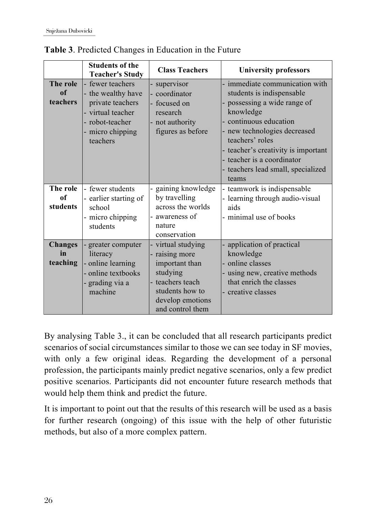|                                  | <b>Students of the</b><br><b>Teacher's Study</b>                                                                             | <b>Class Teachers</b>                                                                                                                           | <b>University professors</b>                                                                                                                                                                                                                                                                          |
|----------------------------------|------------------------------------------------------------------------------------------------------------------------------|-------------------------------------------------------------------------------------------------------------------------------------------------|-------------------------------------------------------------------------------------------------------------------------------------------------------------------------------------------------------------------------------------------------------------------------------------------------------|
| The role<br>of<br>teachers       | fewer teachers<br>the wealthy have<br>private teachers<br>virtual teacher<br>- robot-teacher<br>- micro chipping<br>teachers | supervisor<br>- coordinator<br>- focused on<br>research<br>- not authority<br>figures as before                                                 | immediate communication with<br>students is indispensable<br>possessing a wide range of<br>knowledge<br>- continuous education<br>- new technologies decreased<br>teachers' roles<br>- teacher's creativity is important<br>- teacher is a coordinator<br>- teachers lead small, specialized<br>teams |
| The role<br>of<br>students       | fewer students<br>- earlier starting of<br>school<br>- micro chipping<br>students                                            | gaining knowledge<br>by travelling<br>across the worlds<br>awareness of<br>nature<br>conservation                                               | - teamwork is indispensable<br>- learning through audio-visual<br>aids<br>- minimal use of books                                                                                                                                                                                                      |
| <b>Changes</b><br>in<br>teaching | greater computer<br>literacy<br>online learning<br>- online textbooks<br>grading via a<br>machine                            | - virtual studying<br>- raising more<br>important than<br>studying<br>teachers teach<br>students how to<br>develop emotions<br>and control them | application of practical<br>knowledge<br>online classes<br>- using new, creative methods<br>that enrich the classes<br>- creative classes                                                                                                                                                             |

**Table 3**. Predicted Changes in Education in the Future

By analysing Table 3., it can be concluded that all research participants predict scenarios of social circumstances similar to those we can see today in SF movies, with only a few original ideas. Regarding the development of a personal profession, the participants mainly predict negative scenarios, only a few predict positive scenarios. Participants did not encounter future research methods that would help them think and predict the future.

It is important to point out that the results of this research will be used as a basis for further research (ongoing) of this issue with the help of other futuristic methods, but also of a more complex pattern.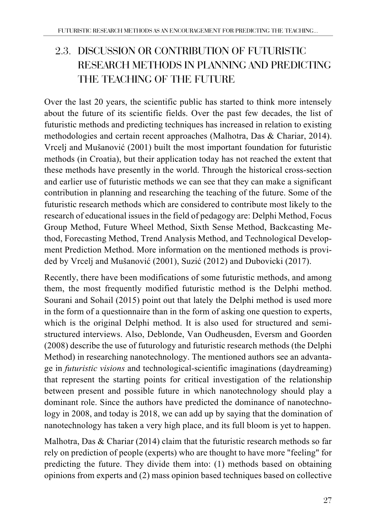# 2.3. DISCUSSION OR CONTRIBUTION OF FUTURISTIC RESEARCH METHODS IN PLANNING AND PREDICTING THE TEACHING OF THE FUTURE

Over the last 20 years, the scientific public has started to think more intensely about the future of its scientific fields. Over the past few decades, the list of futuristic methods and predicting techniques has increased in relation to existing methodologies and certain recent approaches (Malhotra, Das & Chariar, 2014). Vrcelj and Mušanović (2001) built the most important foundation for futuristic methods (in Croatia), but their application today has not reached the extent that these methods have presently in the world. Through the historical cross-section and earlier use of futuristic methods we can see that they can make a significant contribution in planning and researching the teaching of the future. Some of the futuristic research methods which are considered to contribute most likely to the research of educational issues in the field of pedagogy are: Delphi Method, Focus Group Method, Future Wheel Method, Sixth Sense Method, Backcasting Method, Forecasting Method, Trend Analysis Method, and Technological Development Prediction Method. More information on the mentioned methods is provided by Vrcelj and Mušanović (2001), Suzić (2012) and Dubovicki (2017).

Recently, there have been modifications of some futuristic methods, and among them, the most frequently modified futuristic method is the Delphi method. Sourani and Sohail (2015) point out that lately the Delphi method is used more in the form of a questionnaire than in the form of asking one question to experts, which is the original Delphi method. It is also used for structured and semistructured interviews. Also, Deblonde, Van Oudheusden, Eversm and Goorden (2008) describe the use of futurology and futuristic research methods (the Delphi Method) in researching nanotechnology. The mentioned authors see an advantage in *futuristic visions* and technological-scientific imaginations (daydreaming) that represent the starting points for critical investigation of the relationship between present and possible future in which nanotechnology should play a dominant role. Since the authors have predicted the dominance of nanotechnology in 2008, and today is 2018, we can add up by saying that the domination of nanotechnology has taken a very high place, and its full bloom is yet to happen.

Malhotra, Das & Chariar (2014) claim that the futuristic research methods so far rely on prediction of people (experts) who are thought to have more "feeling" for predicting the future. They divide them into: (1) methods based on obtaining opinions from experts and (2) mass opinion based techniques based on collective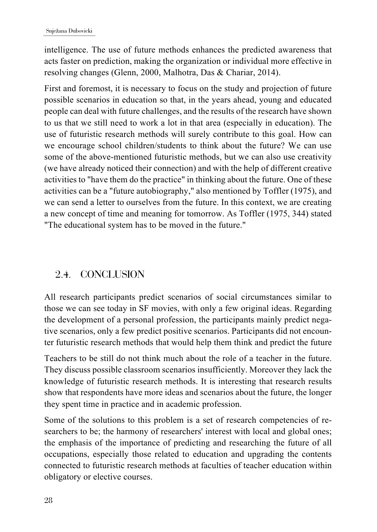intelligence. The use of future methods enhances the predicted awareness that acts faster on prediction, making the organization or individual more effective in resolving changes (Glenn, 2000, Malhotra, Das & Chariar, 2014).

First and foremost, it is necessary to focus on the study and projection of future possible scenarios in education so that, in the years ahead, young and educated people can deal with future challenges, and the results of the research have shown to us that we still need to work a lot in that area (especially in education). The use of futuristic research methods will surely contribute to this goal. How can we encourage school children/students to think about the future? We can use some of the above-mentioned futuristic methods, but we can also use creativity (we have already noticed their connection) and with the help of different creative activities to "have them do the practice" in thinking about the future. One of these activities can be a "future autobiography," also mentioned by Toffler (1975), and we can send a letter to ourselves from the future. In this context, we are creating a new concept of time and meaning for tomorrow. As Toffler (1975, 344) stated "The educational system has to be moved in the future."

### 2.4. CONCLUSION

All research participants predict scenarios of social circumstances similar to those we can see today in SF movies, with only a few original ideas. Regarding the development of a personal profession, the participants mainly predict negative scenarios, only a few predict positive scenarios. Participants did not encounter futuristic research methods that would help them think and predict the future

Teachers to be still do not think much about the role of a teacher in the future. They discuss possible classroom scenarios insufficiently. Moreover they lack the knowledge of futuristic research methods. It is interesting that research results show that respondents have more ideas and scenarios about the future, the longer they spent time in practice and in academic profession.

Some of the solutions to this problem is a set of research competencies of researchers to be; the harmony of researchers' interest with local and global ones; the emphasis of the importance of predicting and researching the future of all occupations, especially those related to education and upgrading the contents connected to futuristic research methods at faculties of teacher education within obligatory or elective courses.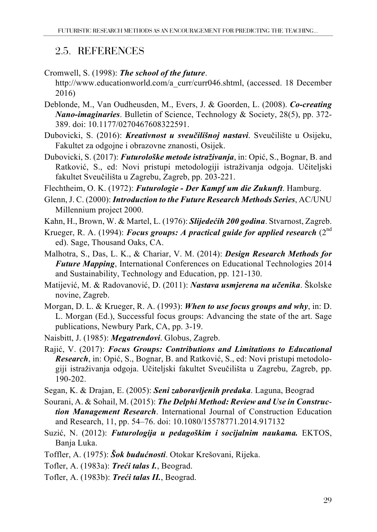### 2.5. REFERENCES

- Cromwell, S. (1998): *The school of the future*.
	- http://www.educationworld.com/a\_curr/curr046.shtml, (accessed. 18 December 2016)
- Deblonde, M., Van Oudheusden, M., Evers, J. & Goorden, L. (2008). *Co-creating Nano-imaginaries*. Bulletin of Science, Technology & Society, 28(5), pp. 372- 389. doi: 10.1177/0270467608322591.
- Dubovicki, S. (2016): *Kreativnost u sveučilišnoj nastavi*. Sveučilište u Osijeku, Fakultet za odgojne i obrazovne znanosti, Osijek.
- Dubovicki, S. (2017): *Futurološke metode istraživanja*, in: Opić, S., Bognar, B. and Ratković, S., ed: Novi pristupi metodologiji istraživanja odgoja. Učiteljski fakultet Sveučilišta u Zagrebu, Zagreb, pp. 203-221.

Flechtheim, O. K. (1972): *Futurologie - Der Kampf um die Zukunft*. Hamburg.

- Glenn, J. C. (2000): *Introduction to the Future Research Methods Series*, AC/UNU Millennium project 2000.
- Kahn, H., Brown, W. & Martel, L. (1976): *Slijedećih 200 godina*. Stvarnost, Zagreb.
- Krueger, R. A. (1994): *Focus groups: A practical guide for applied research* (2nd ed). Sage, Thousand Oaks, CA.
- Malhotra, S., Das, L. K., & Chariar, V. M. (2014): *Design Research Methods for Future Mapping*, International Conferences on Educational Technologies 2014 and Sustainability, Technology and Education, pp. 121-130.
- Matijević, M. & Radovanović, D. (2011): *Nastava usmjerena na učenika*. Školske novine, Zagreb.
- Morgan, D. L. & Krueger, R. A. (1993): *When to use focus groups and why*, in: D. L. Morgan (Ed.), Successful focus groups: Advancing the state of the art. Sage publications, Newbury Park, CA, pp. 3-19.
- Naisbitt, J. (1985): *Megatrendovi*. Globus, Zagreb.
- Rajić, V. (2017): *Focus Groups: Contributions and Limitations to Educational Research*, in: Opić, S., Bognar, B. and Ratković, S., ed: Novi pristupi metodologiji istraživanja odgoja. Učiteljski fakultet Sveučilišta u Zagrebu, Zagreb, pp. 190-202.
- Segan, K. & Drajan, E. (2005): *Seni zaboravljenih predaka*. Laguna, Beograd
- Sourani, A. & Sohail, M. (2015): *The Delphi Method: Review and Use in Construction Management Research*. International Journal of Construction Education and Research, 11, pp. 54–76. doi: 10.1080/15578771.2014.917132
- Suzić, N. (2012): *Futurologija u pedagoškim i socijalnim naukama.* EKTOS, Banja Luka.
- Toffler, A. (1975): *Šok budućnosti*. Otokar Krešovani, Rijeka.
- Tofler, A. (1983a): *Treći talas I.*, Beograd.
- Tofler, A. (1983b): *Treći talas II.*, Beograd.